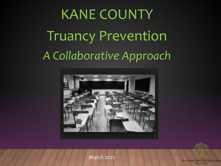# KANE COUNTY Truancy Prevention *A Collaborative Approach*





March 2021

**REGIONAL OFFICE OF EDUCATION KANE COUNTY**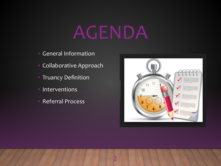# AGENDA

- General Information
- Collaborative Approach
- Truancy Definition
- Interventions
- Referral Process

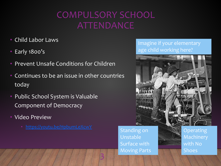### COMPULSORY SCHOOL ATTENDANCE

3

- Child Labor Laws
- Early 1800's
- Prevent Unsafe Conditions for Children
- Continues to be an issue in other countries today
- Public School System is Valuable Component of Democracy
- Video Preview
	- <https://youtu.be/HpbumLeXcwY> Standing on

#### Imagine if your elementary age child working here?



Standing on Unstable Surface with Moving Parts

Machinery with No Shoes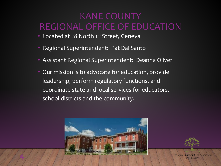#### KANE COUNTY REGIONAL OFFICE OF EDUCATION

- Located at 28 North 1st Street, Geneva
- Regional Superintendent: Pat Dal Santo
- Assistant Regional Superintendent: Deanna Oliver
- Our mission is to advocate for education, provide leadership, perform regulatory functions, and coordinate state and local services for educators, school districts and the community.



4



**REGIONAL OFFICE OF EDUCATION KANE COUNTY**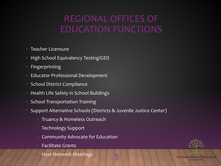#### REGIONAL OFFICES OF EDUCATION FUNCTIONS

- Teacher Licensure
- High School Equivalency Testing/GED
- **Fingerprinting**
- Educator Professional Development
- School District Compliance
- Health Life Safety in School Buildings
- School Transportation Training
- Support Alternative Schools (Districts & Juvenile Justice Center)
	- Truancy & Homeless Outreach
	- Technology Support
	- Community Advocate for Education
	- Facilitate Grants

**Host Network Meetings** 

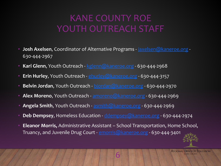#### KANE COUNTY ROE YOUTH OUTREACH STAFF

- **Josh Axelsen**, Coordinator of Alternative Programs [jaxelsen@kaneroe.org](mailto:jaxelsen@kaneroe.org)  630-444-2967
- **Kari Glenn**, Youth Outreach - [kglenn@kaneroe.org](mailto:kglenn@kaneroe.org)  630-444-2968
- **Erin Hurley**, Youth Outreach - [ehurley@kaneroe.org](mailto:ehurley@kaneroe.org)  630-444-3157
- **Belvin Jordan**, Youth Outreach [bjordan@kaneroe.org](mailto:bjordan@kaneroe.org) 630-444-2970
- **Alex Moreno**, Youth Outreach [amoreno@kaneroe.org](mailto:amoreno@kaneroe.org)  630-444-2969
- **Angela Smith**, Youth Outreach - [asmith@kaneroe.org](mailto:asmith@kaneroe.org)  630-444-2969
- **Deb Dempsey**, Homeless Education [ddempsey@kaneroe.org](mailto:ddempsey@kaneroe.org)  630-444-2974
- **Eleanor Morris,** Administrative Assistant School Transportation, Home School, Truancy, and Juvenile Drug Court - [emorris@kaneroe.org](mailto:emorris@kaneroe.org) - 630-444-3401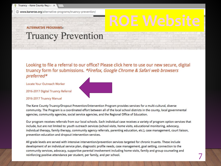www.kaneroe.org/alternative-programs/truancy-prevention/

#### **ALTERNATIVE PROGRAMS»**

#### **Truancy Prevention**

Looking to file a referral to our office? Please click here to use our new secure, digital truancy form for submissions. \*Firefox, Google Chrome & Safari web browsers preferred\*

Locate Your Outreach Worker

2016-2017 Digital Truancy Referral

#### 2016-2017 Truancy Manual

The Kane County Truancy/Dropout Prevention/Intervention Program provides services for a multi-cultural, diverse community. The Program is a coordinated effort between all of the local school districts in the county, local governmental agencies, community agencies, social service agencies, and the Regional Office of Education.

Our program receives referrals from our local schools. Each individual case receives a variety of program option services that include, but are not limited to: youth outreach services (school visits, home visits, educational monitoring, advocacy, individual therapy, family therapy, community agency referrals, parenting education, etc.), case management, court liaison, prevention education and dropout intervention services.

All grade levels are served with intensive intervention/prevention services targeted for chronic truants. These include development of an individual service plan, diagnostic profile needs, case management, goal setting, connection to the community services, advocacy, supportive parental involvement including home visits, family and group counseling and reinforcing positive attendance per student, per family, and per school.

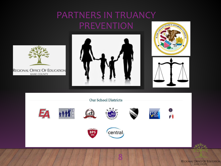### PARTNERS IN TRUANCY PREVENTION











8

REGIONAL OFFICE OF EDUCATION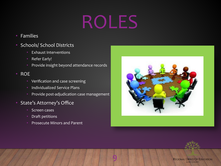# ROLES

 $\mathsf{b}$ 

- Families
- Schools/ School Districts
	- Exhaust Interventions
	- Refer Early!
	- Provide insight beyond attendance records
- ROE
	- Verification and case screening
	- Individualized Service Plans
	- Provide post-adjudication case management
- State's Attorney's Office
	- Screen cases
	- Draft petitions
	- Prosecute Minors and Parent



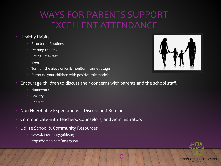### WAYS FOR PARENTS SUPPORT EXCELLENT ATTENDANCE

- Healthy Habits
	- Structured Routines
	- Starting the Day
	- Eating Breakfast
	- Sleep
	- Turn off the electronics & monitor Internet usage
	- Surround your children with positive role models



Encourage children to discuss their concerns with parents and the school staff.

- Homework
- **Anxiety**
- Conflict
- Non-Negotiable Expectations—Discuss and Remind
- Communicate with Teachers, Counselors, and Administrators
- Utilize School & Community Resources
	- www.kanecountyguide.org
	- https://vimeo.com/101425388

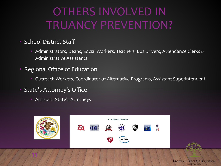## OTHERS INVOLVED IN TRUANCY PREVENTION?

- School District Staff
	- Administrators, Deans, Social Workers, Teachers, Bus Drivers, Attendance Clerks & Administrative Assistants
- Regional Office of Education
	- Outreach Workers, Coordinator of Alternative Programs, Assistant Superintendent
- State's Attorney's Office

11

• Assistant State's Attorneys



**REGIONAL OFFICE OF EDUCATION KANE COUNTY**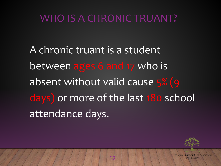### WHO IS A CHRONIC TRUANT?

A chronic truant is a student between ages 6 and 17 who is absent without valid cause 5% (9 days) or more of the last 180 school attendance days.

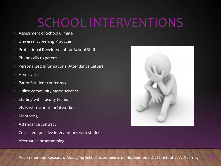# SCHOOL INTERVENTIONS

- Assessment of School Climate
- Universal Screening Practices
- Professional Development for School Staff
- Phone calls to parent
- Personalized Informational Attendance Letters
- Home visits
- Parent/student conference
- Utilize community based services
- Staffing with faculty teams
- Visits with school social worker
- **Mentoring**
- Attendance contract
- Consistent positive interventions with student
- Alternative programming



• Recommended Research: *Managing School Absenteeism at Multiple Tiers*-Dr. Christopher A. Kearney 13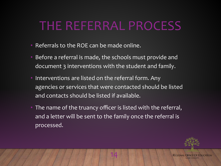## THE REFERRAL PROCESS

- Referrals to the ROE can be made online.
- Before a referral is made, the schools must provide and document 3 interventions with the student and family.
- Interventions are listed on the referral form. Any agencies or services that were contacted should be listed and contacts should be listed if available.
- The name of the truancy officer is listed with the referral, and a letter will be sent to the family once the referral is processed.

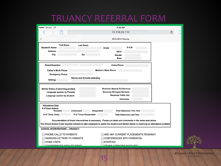#### TRUANCY REFERRAL FORM

| 74.116.25.114<br>Date<br># of Referrals to ROE<br>Schoo<br>$^{\circledR}$<br>2013-2014 Truancy<br>onna<br><b>First Name</b><br><b>Last Name</b><br>D.O.B.<br><b>Student's Name</b><br>Grade<br><b>Address</b><br>SIS#<br>City<br>Zip<br>Gender<br>Race<br>Parent/Guardian<br><b>Home Phone</b><br><b>Mother's Work Phone</b><br><b>Father's Work Phone</b><br><b>Emergency Phone</b><br><b>Names and Schools attending</b> |  |
|----------------------------------------------------------------------------------------------------------------------------------------------------------------------------------------------------------------------------------------------------------------------------------------------------------------------------------------------------------------------------------------------------------------------------|--|
|                                                                                                                                                                                                                                                                                                                                                                                                                            |  |
|                                                                                                                                                                                                                                                                                                                                                                                                                            |  |
|                                                                                                                                                                                                                                                                                                                                                                                                                            |  |
|                                                                                                                                                                                                                                                                                                                                                                                                                            |  |
|                                                                                                                                                                                                                                                                                                                                                                                                                            |  |
|                                                                                                                                                                                                                                                                                                                                                                                                                            |  |
|                                                                                                                                                                                                                                                                                                                                                                                                                            |  |
|                                                                                                                                                                                                                                                                                                                                                                                                                            |  |
|                                                                                                                                                                                                                                                                                                                                                                                                                            |  |
|                                                                                                                                                                                                                                                                                                                                                                                                                            |  |
| <b>Siblings</b>                                                                                                                                                                                                                                                                                                                                                                                                            |  |
| <b>Receives Special Ed Services</b><br><b>Marital Status of parents/guardians</b><br><b>Receives Bilingual Services</b><br>Language spoken by Parents<br><b>Receives Public Aid</b><br>Language spoken by Student<br><b>Homeless</b>                                                                                                                                                                                       |  |
| <b>Attendance Data:</b><br># of Days Absent                                                                                                                                                                                                                                                                                                                                                                                |  |
| <b>Suspended</b><br><b>Total Absences This Year</b><br><b>Excused</b><br><b>Unexcused</b>                                                                                                                                                                                                                                                                                                                                  |  |
| # of Times Suspended:<br># of Times Tardy:<br><b>Total Absences Last Year</b>                                                                                                                                                                                                                                                                                                                                              |  |
| Documentation of these interventions is necessary. Please put dates and comments in the notes area below.<br>The Illinois School Code requires schools to take measures to assist the student and his/her family in resolving an attendance problem                                                                                                                                                                        |  |
| <b>SCHOOL INTERVENTIONS -- TRUANCY:</b>                                                                                                                                                                                                                                                                                                                                                                                    |  |
| PHONE CALLS TO PARENTS<br>ARE ANY CURRENT PLACEMENTS PENDING?                                                                                                                                                                                                                                                                                                                                                              |  |
| <b>WARNING LETTERS TO PARENTS</b><br>CONFERENCES WITH PARENT(S)<br><b>HOME VISITS</b><br><b>STAFFING</b>                                                                                                                                                                                                                                                                                                                   |  |
| CONFEDENCES WITH STUDENT<br><b>OTHED ACENCIES INVOLVED.</b>                                                                                                                                                                                                                                                                                                                                                                |  |

15

REGIONAL OFFICE OF EDUCATION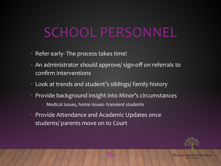# SCHOOL PERSONNEL

- Refer early- The process takes time!
- An administrator should approve/ sign-off on referrals to confirm interventions
- Look at trends and student's siblings/ family history
- Provide background insight into Minor's circumstances

- Medical Issues, home issues- transient students
- Provide Attendance and Academic Updates once students/ parents move on to Court

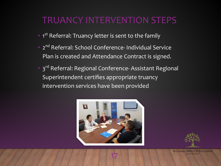#### TRUANCY INTERVENTION STEPS

- 1<sup>st</sup> Referral: Truancy letter is sent to the family
- 2<sup>nd</sup> Referral: School Conference- Individual Service Plan is created and Attendance Contract is signed.
- 3<sup>rd</sup> Referral: Regional Conference- Assistant Regional Superintendent certifies appropriate truancy intervention services have been provided



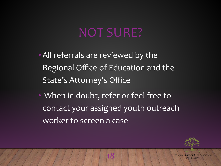## NOT SURE?

- •All referrals are reviewed by the Regional Office of Education and the State's Attorney's Office
- When in doubt, refer or feel free to contact your assigned youth outreach worker to screen a case

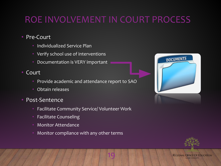### ROE INVOLVEMENT IN COURT PROCESS

- Pre-Court
	- Individualized Service Plan
	- Verify school use of interventions
	- Documentation is VERY important
- Court
	- Provide academic and attendance report to SAO
	- Obtain releases
- Post-Sentence
	- Facilitate Community Service/ Volunteer Work
	- Facilitate Counseling
	- Monitor Attendance
	- Monitor compliance with any other terms



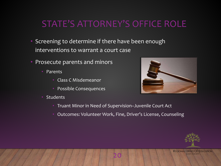#### STATE'S ATTORNEY'S OFFICE ROLE

- Screening to determine if there have been enough interventions to warrant a court case
- Prosecute parents and minors
	- **Parents** 
		- Class C Misdemeanor
		- Possible Consequences
	- **Students**



- Truant Minor in Need of Supervision–Juvenile Court Act
- Outcomes: Volunteer Work, Fine, Driver's License, Counseling

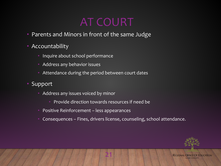## AT COURT

- Parents and Minors in front of the same Judge
- Accountability
	- Inquire about school performance
	- Address any behavior issues
	- Attendance during the period between court dates
- Support
	- Address any issues voiced by minor
		- Provide direction towards resources if need be
	- Positive Reinforcement less appearances
	- Consequences Fines, drivers license, counseling, school attendance.

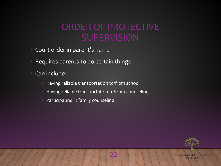# ORDER OF PROTECTIVE

- Court order in parent's name
- Requires parents to do certain things
- Can include:
	- Having reliable transportation to/from school
	- Having reliable transportation to/from counseling
	- Participating in family counseling

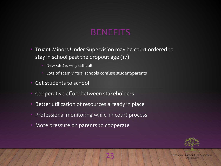#### **BENEFITS**

- Truant Minors Under Supervision may be court ordered to stay in school past the dropout age (17)
	- New GED is very difficult
	- Lots of scam virtual schools confuse student/parents
- Get students to school
- Cooperative effort between stakeholders
- Better utilization of resources already in place
- Professional monitoring while in court process
- More pressure on parents to cooperate